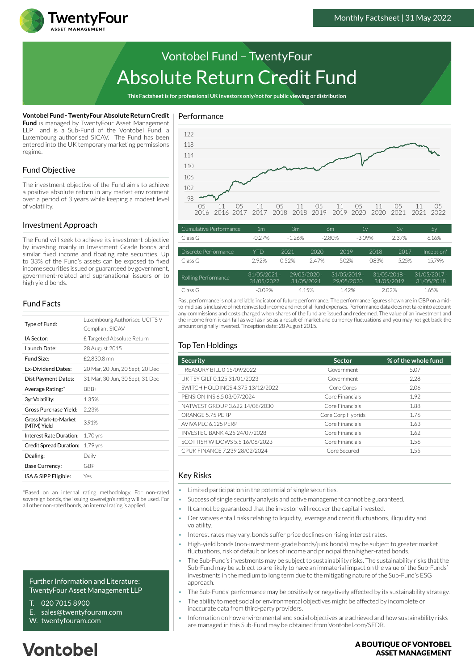

# Absolute Return Credit Fund Vontobel Fund – TwentyFour

**This Factsheet is for professional UK investors only/not for public viewing or distribution**

#### **Vontobel Fund - TwentyFour Absolute Return Credit**

**Fund** is managed by TwentyFour Asset Management LLP and is a Sub-Fund of the Vontobel Fund, a Luxembourg authorised SICAV. The Fund has been entered into the UK temporary marketing permissions regime.

## Fund Objective

The investment objective of the Fund aims to achieve a positive absolute return in any market environment over a period of 3 years while keeping a modest level of volatility.

#### Investment Approach

The Fund will seek to achieve its investment objective by investing mainly in Investment Grade bonds and similar fixed income and floating rate securities. Up to 33% of the Fund's assets can be exposed to fixed income securities issued or guaranteed by government, government-related and supranational issuers or to high yield bonds.

## Fund Facts

| Type of Fund:                       | Luxembourg Authorised UCITS V<br>Compliant SICAV |  |  |
|-------------------------------------|--------------------------------------------------|--|--|
| IA Sector:                          | £ Targeted Absolute Return                       |  |  |
| Launch Date:                        | 28 August 2015                                   |  |  |
| Fund Size:                          | £2,830.8 mn                                      |  |  |
| <b>Ex-Dividend Dates:</b>           | 20 Mar, 20 Jun, 20 Sept, 20 Dec                  |  |  |
| Dist Payment Dates:                 | 31 Mar, 30 Jun, 30 Sept, 31 Dec                  |  |  |
| Average Rating:*                    | BBB+                                             |  |  |
| 3yr Volatility:                     | 1.35%                                            |  |  |
| Gross Purchase Yield:               | 2.23%                                            |  |  |
| Gross Mark-to-Market<br>(MTM) Yield | 3.91%                                            |  |  |
| Interest Rate Duration:             | $1.70$ yrs                                       |  |  |
| Credit Spread Duration:             | $1.79$ yrs                                       |  |  |
| Dealing:                            | Daily                                            |  |  |
| Base Currency:                      | GBP                                              |  |  |
| ISA & SIPP Eligible:                | Yes                                              |  |  |
|                                     |                                                  |  |  |

\*Based on an internal rating methodology. For non-rated sovereign bonds, the issuing sovereign's rating will be used. For all other non-rated bonds, an internal rating is applied.

Further Information and Literature: TwentyFour Asset Management LLP

- T. 020 7015 8900
- E. sales@twentyfouram.com
- W. [twentyfouram.com](http://www.twentyfouram.com)

# **Vontobel**

#### Performance



| Cumulative Performance | 1 <sub>m</sub>               | 3 <sub>m</sub>               |       | 6m                           | 1 <sub>y</sub> | 3v                           | 5y                         |
|------------------------|------------------------------|------------------------------|-------|------------------------------|----------------|------------------------------|----------------------------|
| Class G                | $-0.27%$                     | $-1.26%$                     |       | $-2.80%$                     | $-3.09\%$      | 2.37%                        | 6.16%                      |
|                        |                              |                              |       |                              |                |                              |                            |
| Discrete Performance   | YTD                          | 2021                         | 2020  | 2019                         | 2018           | 2017                         | Inception*                 |
| Class G                | $-2.92\%$                    | 0.52%                        | 2.47% | 5.02%                        | $-0.83%$       | 5.25%                        | 15.79%                     |
|                        |                              |                              |       |                              |                |                              |                            |
| Rolling Performance    | $31/05/2021 -$<br>31/05/2022 | $29/05/2020 -$<br>31/05/2021 |       | $31/05/2019$ -<br>29/05/2020 |                | $31/05/2018 -$<br>31/05/2019 | 31/05/2017 -<br>31/05/2018 |
| Class G                | $-3.09%$                     | 4.15%                        |       | 1.42%                        |                | 2.02%                        | 1.65%                      |

Past performance is not a reliable indicator of future performance. The performance figures shown are in GBP on a midto-mid basis inclusive of net reinvested income and net of all fund expenses. Performance data does not take into account any commissions and costs charged when shares of the fund are issued and redeemed. The value of an investment and the income from it can fall as well as rise as a result of market and currency fluctuations and you may not get back the amount originally invested. \*Inception date: 28 August 2015.

## Top Ten Holdings

| <b>Security</b>                  | <b>Sector</b>     | % of the whole fund |
|----------------------------------|-------------------|---------------------|
| TREASURY BILL 0 15/09/2022       | Government        | 5.07                |
| UK TSY GILT 0.125 31/01/2023     | Government        | 2.28                |
| SWITCH HOLDINGS 4.375 13/12/2022 | Core Corps        | 2.06                |
| PENSION INS 6.5 03/07/2024       | Core Financials   | 1.92                |
| NATWEST GROUP 3.622 14/08/2030   | Core Financials   | 1.88                |
| ORANGE 5.75 PERP                 | Core Corp Hybrids | 1.76                |
| AVIVA PLC 6.125 PERP             | Core Financials   | 1.63                |
| INVESTEC BANK 4.25 24/07/2028    | Core Financials   | 1.62                |
| SCOTTISH WIDOWS 5.5 16/06/2023   | Core Financials   | 1.56                |
| CPUK FINANCE 7.239 28/02/2024    | Core Secured      | 1.55                |

#### Key Risks

- Limited participation in the potential of single securities.
- Success of single security analysis and active management cannot be guaranteed.
- It cannot be guaranteed that the investor will recover the capital invested.
- Derivatives entail risks relating to liquidity, leverage and credit fluctuations, illiquidity and volatility.
- Interest rates may vary, bonds suffer price declines on rising interest rates.
- High-yield bonds (non-investment-grade bonds/junk bonds) may be subject to greater market fluctuations, risk of default or loss of income and principal than higher-rated bonds.
- The Sub-Fund's investments may be subject to sustainability risks. The sustainability risks that the Sub-Fund may be subject to are likely to have an immaterial impact on the value of the Sub-Funds' investments in the medium to long term due to the mitigating nature of the Sub-Fund's ESG approach.
- The Sub-Funds' performance may be positively or negatively affected by its sustainability strategy.
- The ability to meet social or environmental objectives might be affected by incomplete or inaccurate data from third-party providers.
- Information on how environmental and social objectives are achieved and how sustainability risks are managed in this Sub-Fund may be obtained from Vontobel.com/SFDR.

#### A BOUTIOUE OF VONTOBEL **ASSET MANAGEMENT**